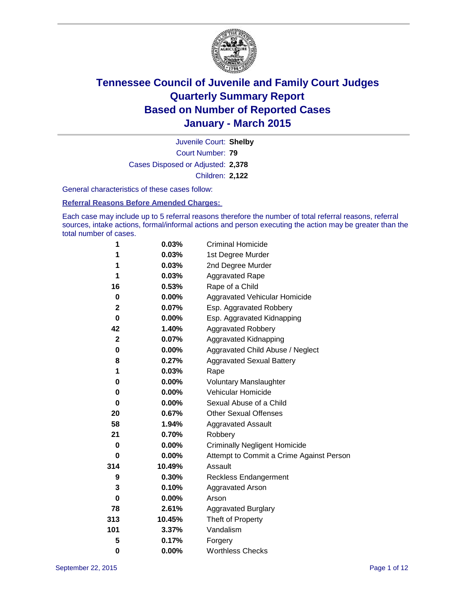

Court Number: **79** Juvenile Court: **Shelby** Cases Disposed or Adjusted: **2,378** Children: **2,122**

General characteristics of these cases follow:

### **Referral Reasons Before Amended Charges:**

Each case may include up to 5 referral reasons therefore the number of total referral reasons, referral sources, intake actions, formal/informal actions and person executing the action may be greater than the total number of cases.

| 1                | 0.03%    | <b>Criminal Homicide</b>                 |  |  |
|------------------|----------|------------------------------------------|--|--|
| 1                | 0.03%    | 1st Degree Murder                        |  |  |
| 1                | 0.03%    | 2nd Degree Murder                        |  |  |
| 1                | 0.03%    | <b>Aggravated Rape</b>                   |  |  |
| 16               | 0.53%    | Rape of a Child                          |  |  |
| 0                | $0.00\%$ | <b>Aggravated Vehicular Homicide</b>     |  |  |
| $\mathbf 2$      | 0.07%    | Esp. Aggravated Robbery                  |  |  |
| 0                | 0.00%    | Esp. Aggravated Kidnapping               |  |  |
| 42               | 1.40%    | <b>Aggravated Robbery</b>                |  |  |
| $\boldsymbol{2}$ | 0.07%    | Aggravated Kidnapping                    |  |  |
| 0                | 0.00%    | Aggravated Child Abuse / Neglect         |  |  |
| 8                | 0.27%    | <b>Aggravated Sexual Battery</b>         |  |  |
| 1                | 0.03%    | Rape                                     |  |  |
| 0                | 0.00%    | <b>Voluntary Manslaughter</b>            |  |  |
| 0                | 0.00%    | <b>Vehicular Homicide</b>                |  |  |
| 0                | 0.00%    | Sexual Abuse of a Child                  |  |  |
| 20               | 0.67%    | <b>Other Sexual Offenses</b>             |  |  |
| 58               | 1.94%    | <b>Aggravated Assault</b>                |  |  |
| 21               | 0.70%    | Robbery                                  |  |  |
| $\bf{0}$         | 0.00%    | <b>Criminally Negligent Homicide</b>     |  |  |
| 0                | 0.00%    | Attempt to Commit a Crime Against Person |  |  |
| 314              | 10.49%   | Assault                                  |  |  |
| 9                | 0.30%    | <b>Reckless Endangerment</b>             |  |  |
| 3                | 0.10%    | <b>Aggravated Arson</b>                  |  |  |
| 0                | $0.00\%$ | Arson                                    |  |  |
| 78               | 2.61%    | <b>Aggravated Burglary</b>               |  |  |
| 313              | 10.45%   | Theft of Property                        |  |  |
| 101              | 3.37%    | Vandalism                                |  |  |
| 5                | 0.17%    | Forgery                                  |  |  |
| $\bf{0}$         | 0.00%    | <b>Worthless Checks</b>                  |  |  |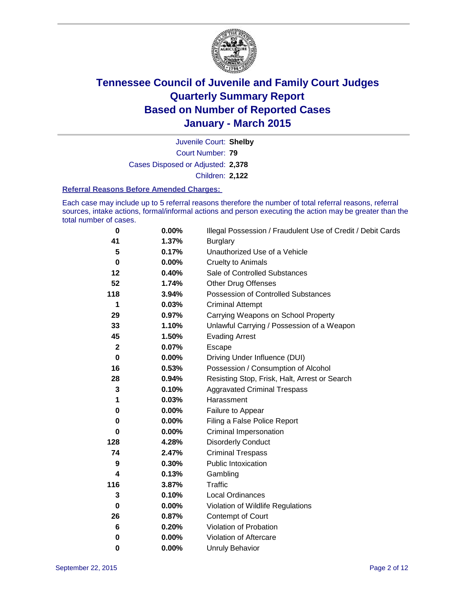

Court Number: **79** Juvenile Court: **Shelby** Cases Disposed or Adjusted: **2,378** Children: **2,122**

#### **Referral Reasons Before Amended Charges:**

Each case may include up to 5 referral reasons therefore the number of total referral reasons, referral sources, intake actions, formal/informal actions and person executing the action may be greater than the total number of cases.

| 0                | 0.00%    | Illegal Possession / Fraudulent Use of Credit / Debit Cards |
|------------------|----------|-------------------------------------------------------------|
| 41               | 1.37%    | <b>Burglary</b>                                             |
| 5                | 0.17%    | Unauthorized Use of a Vehicle                               |
| 0                | $0.00\%$ | <b>Cruelty to Animals</b>                                   |
| 12               | 0.40%    | Sale of Controlled Substances                               |
| 52               | 1.74%    | <b>Other Drug Offenses</b>                                  |
| 118              | 3.94%    | Possession of Controlled Substances                         |
| 1                | 0.03%    | <b>Criminal Attempt</b>                                     |
| 29               | 0.97%    | Carrying Weapons on School Property                         |
| 33               | 1.10%    | Unlawful Carrying / Possession of a Weapon                  |
| 45               | 1.50%    | <b>Evading Arrest</b>                                       |
| $\boldsymbol{2}$ | 0.07%    | Escape                                                      |
| $\bf{0}$         | 0.00%    | Driving Under Influence (DUI)                               |
| 16               | 0.53%    | Possession / Consumption of Alcohol                         |
| 28               | 0.94%    | Resisting Stop, Frisk, Halt, Arrest or Search               |
| 3                | 0.10%    | <b>Aggravated Criminal Trespass</b>                         |
| 1                | 0.03%    | Harassment                                                  |
| 0                | 0.00%    | Failure to Appear                                           |
| 0                | 0.00%    | Filing a False Police Report                                |
| 0                | $0.00\%$ | Criminal Impersonation                                      |
| 128              | 4.28%    | <b>Disorderly Conduct</b>                                   |
| 74               | 2.47%    | <b>Criminal Trespass</b>                                    |
| 9                | 0.30%    | <b>Public Intoxication</b>                                  |
| 4                | 0.13%    | Gambling                                                    |
| 116              | 3.87%    | <b>Traffic</b>                                              |
| 3                | 0.10%    | <b>Local Ordinances</b>                                     |
| 0                | $0.00\%$ | Violation of Wildlife Regulations                           |
| 26               | 0.87%    | Contempt of Court                                           |
| 6                | 0.20%    | Violation of Probation                                      |
| 0                | 0.00%    | Violation of Aftercare                                      |
| 0                | 0.00%    | <b>Unruly Behavior</b>                                      |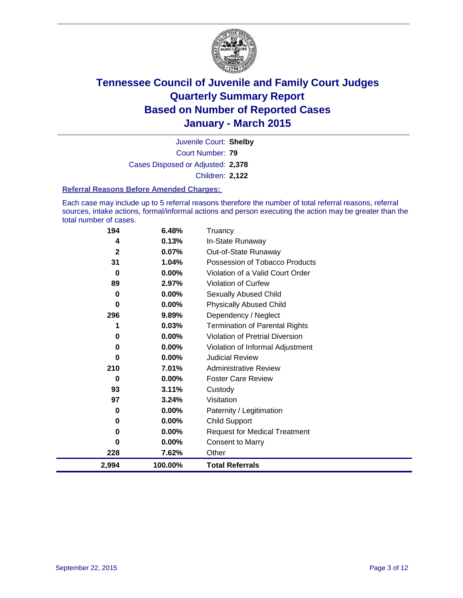

Court Number: **79** Juvenile Court: **Shelby** Cases Disposed or Adjusted: **2,378** Children: **2,122**

### **Referral Reasons Before Amended Charges:**

Each case may include up to 5 referral reasons therefore the number of total referral reasons, referral sources, intake actions, formal/informal actions and person executing the action may be greater than the total number of cases.

| 194          | 6.48%    | Truancy                                |
|--------------|----------|----------------------------------------|
| 4            | 0.13%    | In-State Runaway                       |
| $\mathbf{2}$ | 0.07%    | Out-of-State Runaway                   |
| 31           | 1.04%    | Possession of Tobacco Products         |
| 0            | 0.00%    | Violation of a Valid Court Order       |
| 89           | 2.97%    | <b>Violation of Curfew</b>             |
| 0            | 0.00%    | Sexually Abused Child                  |
| 0            | 0.00%    | <b>Physically Abused Child</b>         |
| 296          | 9.89%    | Dependency / Neglect                   |
|              | 0.03%    | <b>Termination of Parental Rights</b>  |
| 0            | 0.00%    | <b>Violation of Pretrial Diversion</b> |
| 0            | $0.00\%$ | Violation of Informal Adjustment       |
| 0            | $0.00\%$ | <b>Judicial Review</b>                 |
| 210          | 7.01%    | <b>Administrative Review</b>           |
| 0            | 0.00%    | <b>Foster Care Review</b>              |
| 93           | 3.11%    | Custody                                |
| 97           | 3.24%    | Visitation                             |
| 0            | 0.00%    | Paternity / Legitimation               |
| 0            | $0.00\%$ | <b>Child Support</b>                   |
| 0            | 0.00%    | <b>Request for Medical Treatment</b>   |
| $\bf{0}$     | 0.00%    | <b>Consent to Marry</b>                |
| 228          | 7.62%    | Other                                  |
| 2,994        | 100.00%  | <b>Total Referrals</b>                 |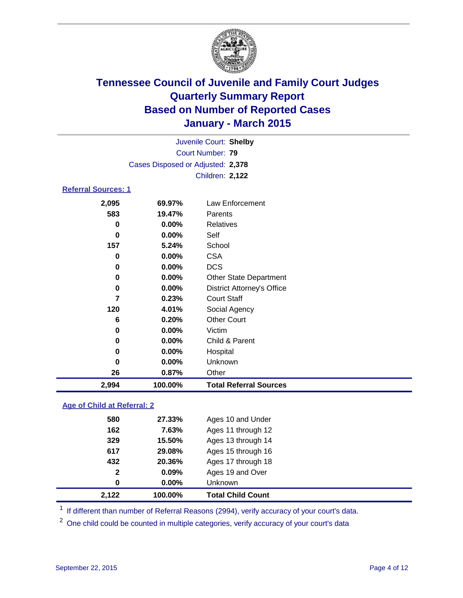

| Juvenile Court: Shelby            |  |
|-----------------------------------|--|
| Court Number: 79                  |  |
| Cases Disposed or Adjusted: 2,378 |  |
| <b>Children: 2,122</b>            |  |
|                                   |  |

### **Referral Sources: 1**

| 2,994 | 100.00%  | <b>Total Referral Sources</b>     |
|-------|----------|-----------------------------------|
| 26    | 0.87%    | Other                             |
| 0     | $0.00\%$ | <b>Unknown</b>                    |
| 0     | 0.00%    | Hospital                          |
| 0     | $0.00\%$ | Child & Parent                    |
| 0     | 0.00%    | Victim                            |
| 6     | 0.20%    | <b>Other Court</b>                |
| 120   | 4.01%    | Social Agency                     |
| 7     | 0.23%    | <b>Court Staff</b>                |
| 0     | 0.00%    | <b>District Attorney's Office</b> |
| 0     | $0.00\%$ | <b>Other State Department</b>     |
| 0     | 0.00%    | <b>DCS</b>                        |
| 0     | $0.00\%$ | CSA                               |
| 157   | 5.24%    | School                            |
| 0     | $0.00\%$ | Self                              |
| 0     | $0.00\%$ | Relatives                         |
| 583   | 19.47%   | Parents                           |
| 2,095 | 69.97%   | Law Enforcement                   |

### **Age of Child at Referral: 2**

| 2,122        | 100.00%  | <b>Total Child Count</b> |
|--------------|----------|--------------------------|
| 0            | $0.00\%$ | <b>Unknown</b>           |
| $\mathbf{2}$ | 0.09%    | Ages 19 and Over         |
| 432          | 20.36%   | Ages 17 through 18       |
| 617          | 29.08%   | Ages 15 through 16       |
| 329          | 15.50%   | Ages 13 through 14       |
| 162          | 7.63%    | Ages 11 through 12       |
| 580          | 27.33%   | Ages 10 and Under        |

<sup>1</sup> If different than number of Referral Reasons (2994), verify accuracy of your court's data.

One child could be counted in multiple categories, verify accuracy of your court's data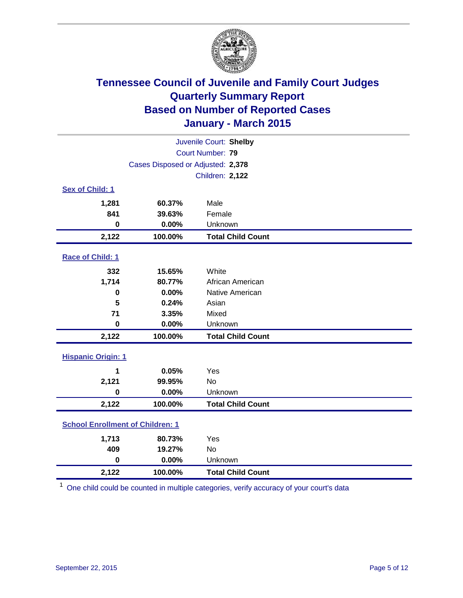

| Juvenile Court: Shelby                  |                                   |                          |  |  |
|-----------------------------------------|-----------------------------------|--------------------------|--|--|
| Court Number: 79                        |                                   |                          |  |  |
|                                         | Cases Disposed or Adjusted: 2,378 |                          |  |  |
|                                         |                                   | Children: 2,122          |  |  |
| <b>Sex of Child: 1</b>                  |                                   |                          |  |  |
| 1,281                                   | 60.37%                            | Male                     |  |  |
| 841                                     | 39.63%                            | Female                   |  |  |
| $\bf{0}$                                | 0.00%                             | Unknown                  |  |  |
| 2,122                                   | 100.00%                           | <b>Total Child Count</b> |  |  |
| Race of Child: 1                        |                                   |                          |  |  |
| 332                                     | 15.65%                            | White                    |  |  |
| 1,714                                   | 80.77%                            | African American         |  |  |
| 0                                       | 0.00%                             | Native American          |  |  |
| 5                                       | 0.24%                             | Asian                    |  |  |
| 71                                      | 3.35%                             | Mixed                    |  |  |
| $\mathbf 0$                             | 0.00%                             | Unknown                  |  |  |
| 2,122                                   | 100.00%                           | <b>Total Child Count</b> |  |  |
| <b>Hispanic Origin: 1</b>               |                                   |                          |  |  |
| 1                                       | 0.05%                             | Yes                      |  |  |
| 2,121                                   | 99.95%                            | <b>No</b>                |  |  |
| $\bf{0}$                                | 0.00%                             | Unknown                  |  |  |
| 2,122                                   | 100.00%                           | <b>Total Child Count</b> |  |  |
| <b>School Enrollment of Children: 1</b> |                                   |                          |  |  |
| 1,713                                   | 80.73%                            | Yes                      |  |  |
| 409                                     | 19.27%                            | No                       |  |  |
| $\mathbf 0$                             | 0.00%                             | Unknown                  |  |  |
| 2,122                                   | 100.00%                           | <b>Total Child Count</b> |  |  |

<sup>1</sup> One child could be counted in multiple categories, verify accuracy of your court's data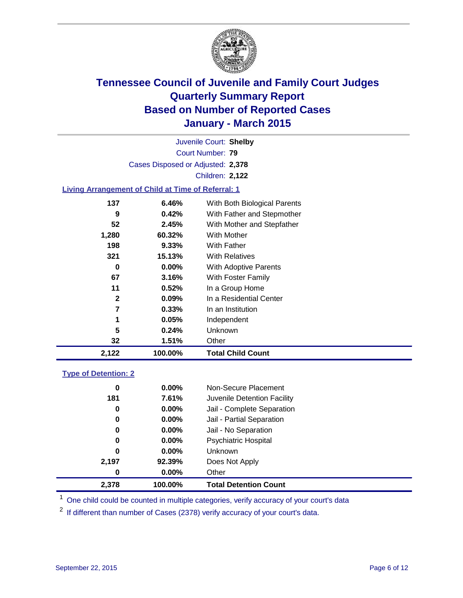

Court Number: **79** Juvenile Court: **Shelby** Cases Disposed or Adjusted: **2,378** Children: **2,122**

### **Living Arrangement of Child at Time of Referral: 1**

| 2,122        | 100.00%  | <b>Total Child Count</b>     |
|--------------|----------|------------------------------|
| 32           | 1.51%    | Other                        |
| 5            | 0.24%    | Unknown                      |
|              | 0.05%    | Independent                  |
| 7            | 0.33%    | In an Institution            |
| $\mathbf{2}$ | $0.09\%$ | In a Residential Center      |
| 11           | 0.52%    | In a Group Home              |
| 67           | 3.16%    | With Foster Family           |
| 0            | $0.00\%$ | <b>With Adoptive Parents</b> |
| 321          | 15.13%   | <b>With Relatives</b>        |
| 198          | 9.33%    | With Father                  |
| 1,280        | 60.32%   | <b>With Mother</b>           |
| 52           | 2.45%    | With Mother and Stepfather   |
| 9            | 0.42%    | With Father and Stepmother   |
| 137          | 6.46%    | With Both Biological Parents |
|              |          |                              |

### **Type of Detention: 2**

| 0<br>181<br>0 | 0.00%<br>7.61%<br>0.00% | Non-Secure Placement<br>Juvenile Detention Facility<br>Jail - Complete Separation |
|---------------|-------------------------|-----------------------------------------------------------------------------------|
| 0             | $0.00\%$                | Jail - Partial Separation                                                         |
| 0             | $0.00\%$                | Jail - No Separation                                                              |
| 0             | $0.00\%$                | <b>Psychiatric Hospital</b>                                                       |
| 0             | $0.00\%$                | <b>Unknown</b>                                                                    |
| 2,197         | 92.39%                  | Does Not Apply                                                                    |
| 0             | $0.00\%$                | Other                                                                             |
| 2.378         | 100.00%                 | <b>Total Detention Count</b>                                                      |

<sup>1</sup> One child could be counted in multiple categories, verify accuracy of your court's data

 $2$  If different than number of Cases (2378) verify accuracy of your court's data.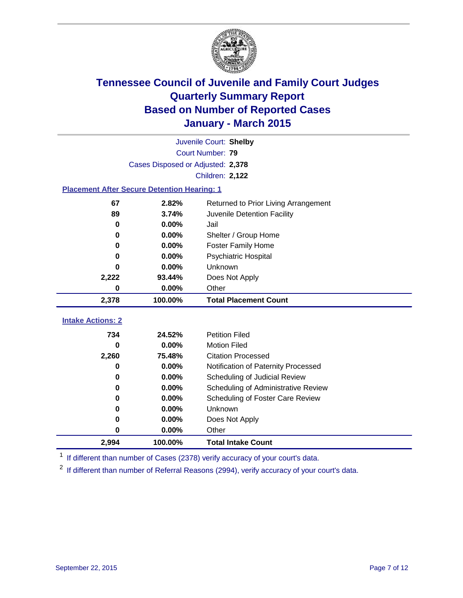

|                                                    |                                   | Juvenile Court: Shelby               |
|----------------------------------------------------|-----------------------------------|--------------------------------------|
|                                                    |                                   | Court Number: 79                     |
|                                                    | Cases Disposed or Adjusted: 2,378 |                                      |
|                                                    |                                   | Children: 2,122                      |
| <b>Placement After Secure Detention Hearing: 1</b> |                                   |                                      |
| 67                                                 | 2.82%                             | Returned to Prior Living Arrangement |
| 89                                                 | 3.74%                             | Juvenile Detention Facility          |
| 0                                                  | 0.00%                             | Jail                                 |
| $\bf{0}$                                           | 0.00%                             | Shelter / Group Home                 |
| 0                                                  | 0.00%                             | <b>Foster Family Home</b>            |
| 0                                                  | 0.00%                             | Psychiatric Hospital                 |
| U                                                  | 0.00%                             | Unknown                              |
| 2,222                                              | 93.44%                            | Does Not Apply                       |
| $\bf{0}$                                           | 0.00%                             | Other                                |
| 2,378                                              | 100.00%                           | <b>Total Placement Count</b>         |
|                                                    |                                   |                                      |
|                                                    |                                   |                                      |
| <b>Intake Actions: 2</b>                           |                                   |                                      |
| 734                                                | 24.52%                            | <b>Petition Filed</b>                |
| $\bf{0}$                                           | 0.00%                             | <b>Motion Filed</b>                  |
| 2,260                                              | 75.48%                            | <b>Citation Processed</b>            |
| 0                                                  | 0.00%                             | Notification of Paternity Processed  |
| $\bf{0}$                                           | 0.00%                             | Scheduling of Judicial Review        |
| $\bf{0}$                                           | 0.00%                             | Scheduling of Administrative Review  |
| 0                                                  | 0.00%                             | Scheduling of Foster Care Review     |
| $\bf{0}$                                           | 0.00%                             | Unknown                              |
| 0                                                  | 0.00%                             | Does Not Apply                       |
| 0                                                  | 0.00%                             | Other                                |

<sup>1</sup> If different than number of Cases (2378) verify accuracy of your court's data.

<sup>2</sup> If different than number of Referral Reasons (2994), verify accuracy of your court's data.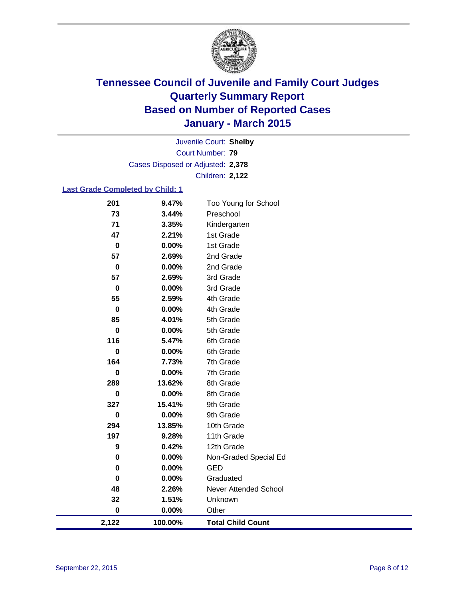

Court Number: **79** Juvenile Court: **Shelby** Cases Disposed or Adjusted: **2,378** Children: **2,122**

### **Last Grade Completed by Child: 1**

| 201              | 9.47%   | Too Young for School     |
|------------------|---------|--------------------------|
| 73               | 3.44%   | Preschool                |
| 71               | 3.35%   | Kindergarten             |
| 47               | 2.21%   | 1st Grade                |
| $\boldsymbol{0}$ | 0.00%   | 1st Grade                |
| 57               | 2.69%   | 2nd Grade                |
| $\pmb{0}$        | 0.00%   | 2nd Grade                |
| 57               | 2.69%   | 3rd Grade                |
| $\pmb{0}$        | 0.00%   | 3rd Grade                |
| 55               | 2.59%   | 4th Grade                |
| 0                | 0.00%   | 4th Grade                |
| 85               | 4.01%   | 5th Grade                |
| 0                | 0.00%   | 5th Grade                |
| 116              | 5.47%   | 6th Grade                |
| $\bf{0}$         | 0.00%   | 6th Grade                |
| 164              | 7.73%   | 7th Grade                |
| $\bf{0}$         | 0.00%   | 7th Grade                |
| 289              | 13.62%  | 8th Grade                |
| $\bf{0}$         | 0.00%   | 8th Grade                |
| 327              | 15.41%  | 9th Grade                |
| $\bf{0}$         | 0.00%   | 9th Grade                |
| 294              | 13.85%  | 10th Grade               |
| 197              | 9.28%   | 11th Grade               |
| 9                | 0.42%   | 12th Grade               |
| $\bf{0}$         | 0.00%   | Non-Graded Special Ed    |
| 0                | 0.00%   | <b>GED</b>               |
| 0                | 0.00%   | Graduated                |
| 48               | 2.26%   | Never Attended School    |
| 32               | 1.51%   | Unknown                  |
| $\bf{0}$         | 0.00%   | Other                    |
| 2,122            | 100.00% | <b>Total Child Count</b> |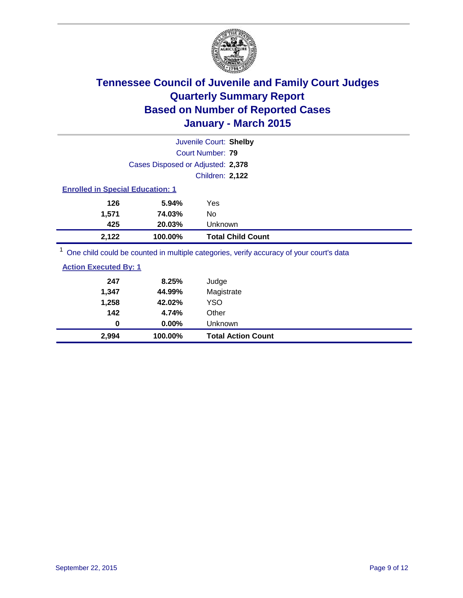

|                                         |                                   | Juvenile Court: Shelby                                                                  |  |  |
|-----------------------------------------|-----------------------------------|-----------------------------------------------------------------------------------------|--|--|
|                                         | Court Number: 79                  |                                                                                         |  |  |
|                                         | Cases Disposed or Adjusted: 2,378 |                                                                                         |  |  |
|                                         |                                   | <b>Children: 2,122</b>                                                                  |  |  |
| <b>Enrolled in Special Education: 1</b> |                                   |                                                                                         |  |  |
| 126                                     | 5.94%                             | Yes                                                                                     |  |  |
| 1.571                                   | 74.03%                            | No.                                                                                     |  |  |
| 425                                     | 20.03%                            | <b>Unknown</b>                                                                          |  |  |
| 2,122                                   | 100.00%                           | <b>Total Child Count</b>                                                                |  |  |
|                                         |                                   | One child could be counted in multiple categories, verify accuracy of your court's data |  |  |

<sup>1</sup> One child could be counted in multiple categories, verify accuracy of your court's data

| 2,994                        | 100.00%  | <b>Total Action Count</b> |
|------------------------------|----------|---------------------------|
| $\bf{0}$                     | $0.00\%$ | Unknown                   |
| 142                          | 4.74%    | Other                     |
| 1,258                        | 42.02%   | YSO                       |
| 1,347                        | 44.99%   | Magistrate                |
| 247                          | 8.25%    | Judge                     |
| <b>Action Executed By: 1</b> |          |                           |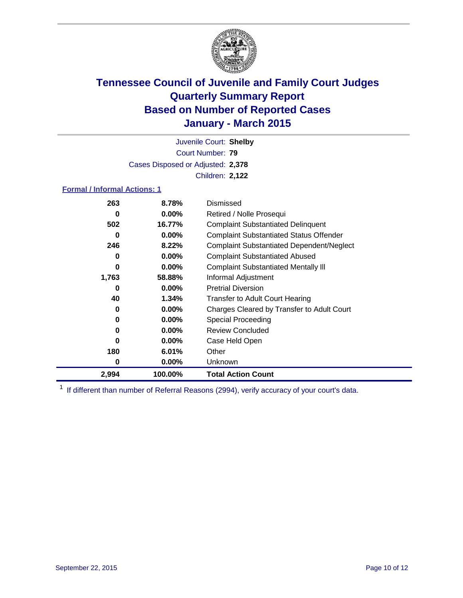

Court Number: **79** Juvenile Court: **Shelby** Cases Disposed or Adjusted: **2,378** Children: **2,122**

### **Formal / Informal Actions: 1**

| 263   | 8.78%    | Dismissed                                        |
|-------|----------|--------------------------------------------------|
| 0     | $0.00\%$ | Retired / Nolle Prosequi                         |
| 502   | 16.77%   | <b>Complaint Substantiated Delinquent</b>        |
| 0     | $0.00\%$ | <b>Complaint Substantiated Status Offender</b>   |
| 246   | 8.22%    | <b>Complaint Substantiated Dependent/Neglect</b> |
| 0     | $0.00\%$ | <b>Complaint Substantiated Abused</b>            |
| 0     | $0.00\%$ | <b>Complaint Substantiated Mentally III</b>      |
| 1,763 | 58.88%   | Informal Adjustment                              |
| 0     | $0.00\%$ | <b>Pretrial Diversion</b>                        |
| 40    | 1.34%    | <b>Transfer to Adult Court Hearing</b>           |
| 0     | $0.00\%$ | Charges Cleared by Transfer to Adult Court       |
| 0     | $0.00\%$ | Special Proceeding                               |
| 0     | $0.00\%$ | <b>Review Concluded</b>                          |
| 0     | $0.00\%$ | Case Held Open                                   |
| 180   | 6.01%    | Other                                            |
| 0     | $0.00\%$ | <b>Unknown</b>                                   |
| 2,994 | 100.00%  | <b>Total Action Count</b>                        |

<sup>1</sup> If different than number of Referral Reasons (2994), verify accuracy of your court's data.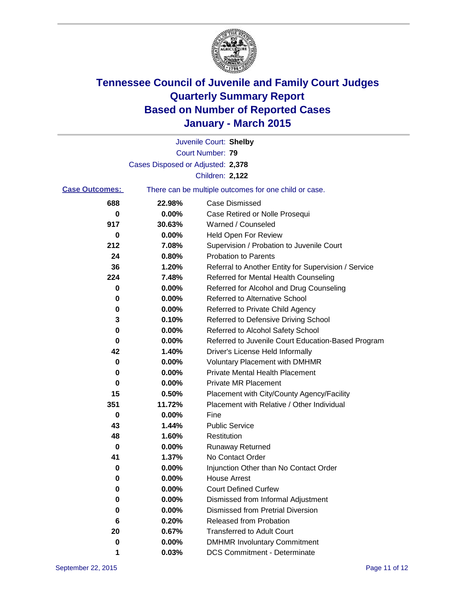

|                       |                                   | Juvenile Court: Shelby                                |
|-----------------------|-----------------------------------|-------------------------------------------------------|
|                       |                                   | Court Number: 79                                      |
|                       | Cases Disposed or Adjusted: 2,378 |                                                       |
|                       |                                   | Children: 2,122                                       |
| <b>Case Outcomes:</b> |                                   | There can be multiple outcomes for one child or case. |
| 688                   | 22.98%                            | <b>Case Dismissed</b>                                 |
| 0                     | 0.00%                             | Case Retired or Nolle Prosequi                        |
| 917                   | 30.63%                            | Warned / Counseled                                    |
| 0                     | 0.00%                             | Held Open For Review                                  |
| 212                   | 7.08%                             | Supervision / Probation to Juvenile Court             |
| 24                    | 0.80%                             | <b>Probation to Parents</b>                           |
| 36                    | 1.20%                             | Referral to Another Entity for Supervision / Service  |
| 224                   | 7.48%                             | Referred for Mental Health Counseling                 |
| 0                     | 0.00%                             | Referred for Alcohol and Drug Counseling              |
| 0                     | 0.00%                             | Referred to Alternative School                        |
| 0                     | 0.00%                             | Referred to Private Child Agency                      |
| 3                     | 0.10%                             | Referred to Defensive Driving School                  |
| 0                     | 0.00%                             | Referred to Alcohol Safety School                     |
| 0                     | 0.00%                             | Referred to Juvenile Court Education-Based Program    |
| 42                    | 1.40%                             | Driver's License Held Informally                      |
| 0                     | 0.00%                             | <b>Voluntary Placement with DMHMR</b>                 |
| 0                     | 0.00%                             | <b>Private Mental Health Placement</b>                |
| 0                     | 0.00%                             | <b>Private MR Placement</b>                           |
| 15                    | 0.50%                             | Placement with City/County Agency/Facility            |
| 351                   | 11.72%                            | Placement with Relative / Other Individual            |
| 0                     | 0.00%                             | Fine                                                  |
| 43                    | 1.44%                             | <b>Public Service</b>                                 |
| 48                    | 1.60%                             | Restitution                                           |
| 0                     | 0.00%                             | <b>Runaway Returned</b>                               |
| 41                    | 1.37%                             | No Contact Order                                      |
| 0                     | 0.00%                             | Injunction Other than No Contact Order                |
| 0                     | $0.00\%$                          | <b>House Arrest</b>                                   |
| 0                     | 0.00%                             | <b>Court Defined Curfew</b>                           |
| 0                     | 0.00%                             | Dismissed from Informal Adjustment                    |
| 0                     | 0.00%                             | <b>Dismissed from Pretrial Diversion</b>              |
| 6                     | 0.20%                             | Released from Probation                               |
| 20                    | 0.67%                             | <b>Transferred to Adult Court</b>                     |
| 0                     | 0.00%                             | <b>DMHMR Involuntary Commitment</b>                   |
| 1                     | 0.03%                             | <b>DCS Commitment - Determinate</b>                   |